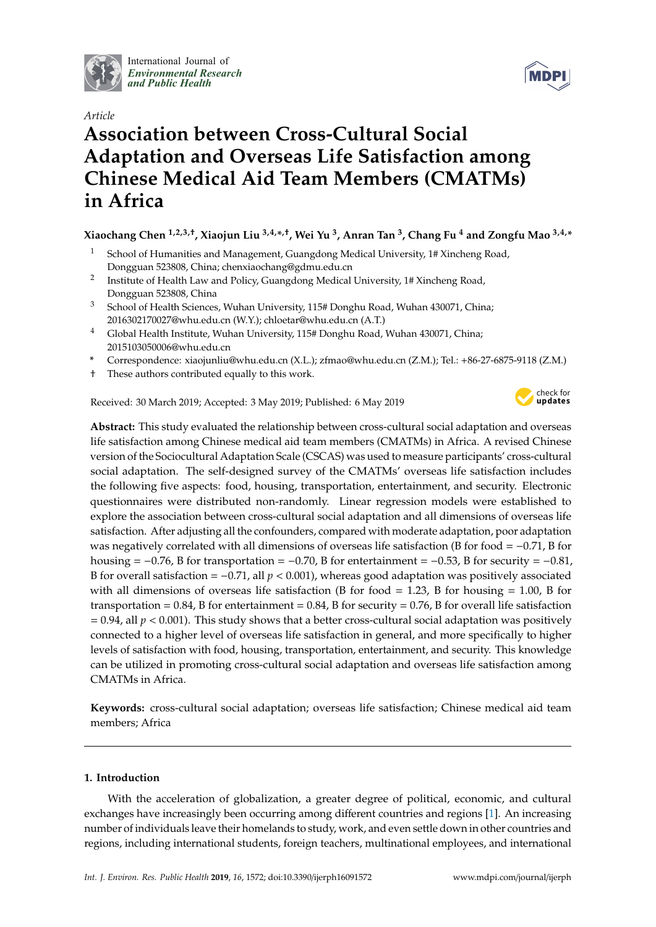

International Journal of *[Environmental Research](http://www.mdpi.com/journal/ijerph) and Public Health*

# *Article*

# **Association between Cross-Cultural Social Adaptation and Overseas Life Satisfaction among Chinese Medical Aid Team Members (CMATMs) in Africa**

# **Xiaochang Chen 1,2,3,**† **, Xiaojun Liu 3,4,\* ,**† **, Wei Yu <sup>3</sup> , Anran Tan <sup>3</sup> , Chang Fu <sup>4</sup> and Zongfu Mao 3,4,\***

- <sup>1</sup> School of Humanities and Management, Guangdong Medical University, 1# Xincheng Road, Dongguan 523808, China; chenxiaochang@gdmu.edu.cn
- 2 Institute of Health Law and Policy, Guangdong Medical University, 1# Xincheng Road, Dongguan 523808, China
- <sup>3</sup> School of Health Sciences, Wuhan University, 115# Donghu Road, Wuhan 430071, China; 2016302170027@whu.edu.cn (W.Y.); chloetar@whu.edu.cn (A.T.)
- <sup>4</sup> Global Health Institute, Wuhan University, 115# Donghu Road, Wuhan 430071, China; 2015103050006@whu.edu.cn
- **\*** Correspondence: xiaojunliu@whu.edu.cn (X.L.); zfmao@whu.edu.cn (Z.M.); Tel.: +86-27-6875-9118 (Z.M.)
- † These authors contributed equally to this work.

Received: 30 March 2019; Accepted: 3 May 2019; Published: 6 May 2019



**Abstract:** This study evaluated the relationship between cross-cultural social adaptation and overseas life satisfaction among Chinese medical aid team members (CMATMs) in Africa. A revised Chinese version of the Sociocultural Adaptation Scale (CSCAS) was used to measure participants' cross-cultural social adaptation. The self-designed survey of the CMATMs' overseas life satisfaction includes the following five aspects: food, housing, transportation, entertainment, and security. Electronic questionnaires were distributed non-randomly. Linear regression models were established to explore the association between cross-cultural social adaptation and all dimensions of overseas life satisfaction. After adjusting all the confounders, compared with moderate adaptation, poor adaptation was negatively correlated with all dimensions of overseas life satisfaction (B for food = −0.71, B for housing =  $-0.76$ , B for transportation =  $-0.70$ , B for entertainment =  $-0.53$ , B for security =  $-0.81$ , B for overall satisfaction = −0.71, all *p* < 0.001), whereas good adaptation was positively associated with all dimensions of overseas life satisfaction (B for food  $= 1.23$ , B for housing  $= 1.00$ , B for transportation =  $0.84$ , B for entertainment =  $0.84$ , B for security =  $0.76$ , B for overall life satisfaction  $= 0.94$ , all  $p < 0.001$ ). This study shows that a better cross-cultural social adaptation was positively connected to a higher level of overseas life satisfaction in general, and more specifically to higher levels of satisfaction with food, housing, transportation, entertainment, and security. This knowledge can be utilized in promoting cross-cultural social adaptation and overseas life satisfaction among CMATMs in Africa.

**Keywords:** cross-cultural social adaptation; overseas life satisfaction; Chinese medical aid team members; Africa

# **1. Introduction**

With the acceleration of globalization, a greater degree of political, economic, and cultural exchanges have increasingly been occurring among different countries and regions [\[1\]](#page-8-0). An increasing number of individuals leave their homelands to study, work, and even settle down in other countries and regions, including international students, foreign teachers, multinational employees, and international

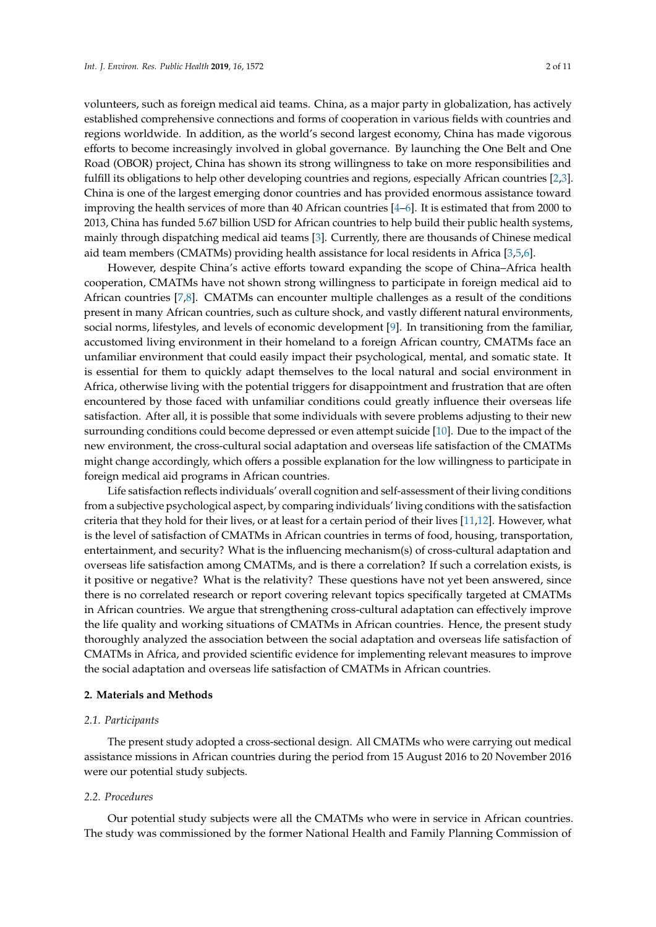volunteers, such as foreign medical aid teams. China, as a major party in globalization, has actively established comprehensive connections and forms of cooperation in various fields with countries and regions worldwide. In addition, as the world's second largest economy, China has made vigorous efforts to become increasingly involved in global governance. By launching the One Belt and One Road (OBOR) project, China has shown its strong willingness to take on more responsibilities and fulfill its obligations to help other developing countries and regions, especially African countries [\[2](#page-8-1)[,3\]](#page-9-0). China is one of the largest emerging donor countries and has provided enormous assistance toward improving the health services of more than 40 African countries [\[4](#page-9-1)[–6\]](#page-9-2). It is estimated that from 2000 to 2013, China has funded 5.67 billion USD for African countries to help build their public health systems, mainly through dispatching medical aid teams [\[3\]](#page-9-0). Currently, there are thousands of Chinese medical aid team members (CMATMs) providing health assistance for local residents in Africa [\[3,](#page-9-0)[5,](#page-9-3)[6\]](#page-9-2).

However, despite China's active efforts toward expanding the scope of China–Africa health cooperation, CMATMs have not shown strong willingness to participate in foreign medical aid to African countries [\[7](#page-9-4)[,8\]](#page-9-5). CMATMs can encounter multiple challenges as a result of the conditions present in many African countries, such as culture shock, and vastly different natural environments, social norms, lifestyles, and levels of economic development [\[9\]](#page-9-6). In transitioning from the familiar, accustomed living environment in their homeland to a foreign African country, CMATMs face an unfamiliar environment that could easily impact their psychological, mental, and somatic state. It is essential for them to quickly adapt themselves to the local natural and social environment in Africa, otherwise living with the potential triggers for disappointment and frustration that are often encountered by those faced with unfamiliar conditions could greatly influence their overseas life satisfaction. After all, it is possible that some individuals with severe problems adjusting to their new surrounding conditions could become depressed or even attempt suicide [\[10\]](#page-9-7). Due to the impact of the new environment, the cross-cultural social adaptation and overseas life satisfaction of the CMATMs might change accordingly, which offers a possible explanation for the low willingness to participate in foreign medical aid programs in African countries.

Life satisfaction reflects individuals' overall cognition and self-assessment of their living conditions from a subjective psychological aspect, by comparing individuals' living conditions with the satisfaction criteria that they hold for their lives, or at least for a certain period of their lives [\[11](#page-9-8)[,12\]](#page-9-9). However, what is the level of satisfaction of CMATMs in African countries in terms of food, housing, transportation, entertainment, and security? What is the influencing mechanism(s) of cross-cultural adaptation and overseas life satisfaction among CMATMs, and is there a correlation? If such a correlation exists, is it positive or negative? What is the relativity? These questions have not yet been answered, since there is no correlated research or report covering relevant topics specifically targeted at CMATMs in African countries. We argue that strengthening cross-cultural adaptation can effectively improve the life quality and working situations of CMATMs in African countries. Hence, the present study thoroughly analyzed the association between the social adaptation and overseas life satisfaction of CMATMs in Africa, and provided scientific evidence for implementing relevant measures to improve the social adaptation and overseas life satisfaction of CMATMs in African countries.

#### **2. Materials and Methods**

#### *2.1. Participants*

The present study adopted a cross-sectional design. All CMATMs who were carrying out medical assistance missions in African countries during the period from 15 August 2016 to 20 November 2016 were our potential study subjects.

#### *2.2. Procedures*

Our potential study subjects were all the CMATMs who were in service in African countries. The study was commissioned by the former National Health and Family Planning Commission of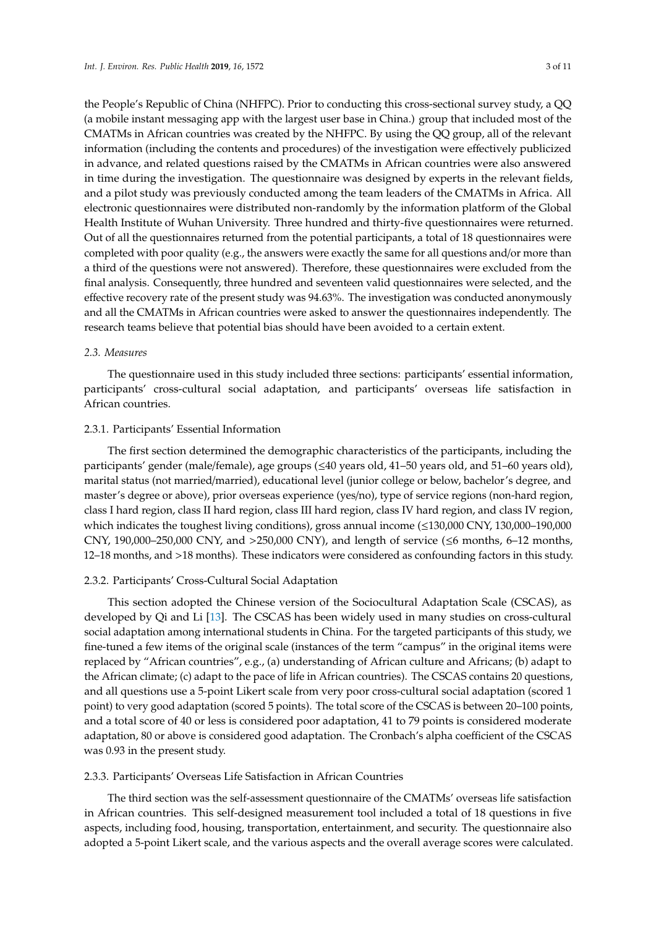the People's Republic of China (NHFPC). Prior to conducting this cross-sectional survey study, a QQ (a mobile instant messaging app with the largest user base in China.) group that included most of the CMATMs in African countries was created by the NHFPC. By using the QQ group, all of the relevant information (including the contents and procedures) of the investigation were effectively publicized in advance, and related questions raised by the CMATMs in African countries were also answered in time during the investigation. The questionnaire was designed by experts in the relevant fields, and a pilot study was previously conducted among the team leaders of the CMATMs in Africa. All electronic questionnaires were distributed non-randomly by the information platform of the Global Health Institute of Wuhan University. Three hundred and thirty-five questionnaires were returned. Out of all the questionnaires returned from the potential participants, a total of 18 questionnaires were completed with poor quality (e.g., the answers were exactly the same for all questions and/or more than a third of the questions were not answered). Therefore, these questionnaires were excluded from the final analysis. Consequently, three hundred and seventeen valid questionnaires were selected, and the effective recovery rate of the present study was 94.63%. The investigation was conducted anonymously and all the CMATMs in African countries were asked to answer the questionnaires independently. The research teams believe that potential bias should have been avoided to a certain extent.

## *2.3. Measures*

The questionnaire used in this study included three sections: participants' essential information, participants' cross-cultural social adaptation, and participants' overseas life satisfaction in African countries.

## 2.3.1. Participants' Essential Information

The first section determined the demographic characteristics of the participants, including the participants' gender (male/female), age groups (≤40 years old, 41–50 years old, and 51–60 years old), marital status (not married/married), educational level (junior college or below, bachelor's degree, and master's degree or above), prior overseas experience (yes/no), type of service regions (non-hard region, class I hard region, class II hard region, class III hard region, class IV hard region, and class IV region, which indicates the toughest living conditions), gross annual income (≤130,000 CNY, 130,000–190,000 CNY, 190,000–250,000 CNY, and  $>250,000$  CNY), and length of service ( $\leq 6$  months, 6–12 months, 12–18 months, and >18 months). These indicators were considered as confounding factors in this study.

# 2.3.2. Participants' Cross-Cultural Social Adaptation

This section adopted the Chinese version of the Sociocultural Adaptation Scale (CSCAS), as developed by Qi and Li [\[13\]](#page-9-10). The CSCAS has been widely used in many studies on cross-cultural social adaptation among international students in China. For the targeted participants of this study, we fine-tuned a few items of the original scale (instances of the term "campus" in the original items were replaced by "African countries", e.g., (a) understanding of African culture and Africans; (b) adapt to the African climate; (c) adapt to the pace of life in African countries). The CSCAS contains 20 questions, and all questions use a 5-point Likert scale from very poor cross-cultural social adaptation (scored 1 point) to very good adaptation (scored 5 points). The total score of the CSCAS is between 20–100 points, and a total score of 40 or less is considered poor adaptation, 41 to 79 points is considered moderate adaptation, 80 or above is considered good adaptation. The Cronbach's alpha coefficient of the CSCAS was 0.93 in the present study.

#### 2.3.3. Participants' Overseas Life Satisfaction in African Countries

The third section was the self-assessment questionnaire of the CMATMs' overseas life satisfaction in African countries. This self-designed measurement tool included a total of 18 questions in five aspects, including food, housing, transportation, entertainment, and security. The questionnaire also adopted a 5-point Likert scale, and the various aspects and the overall average scores were calculated.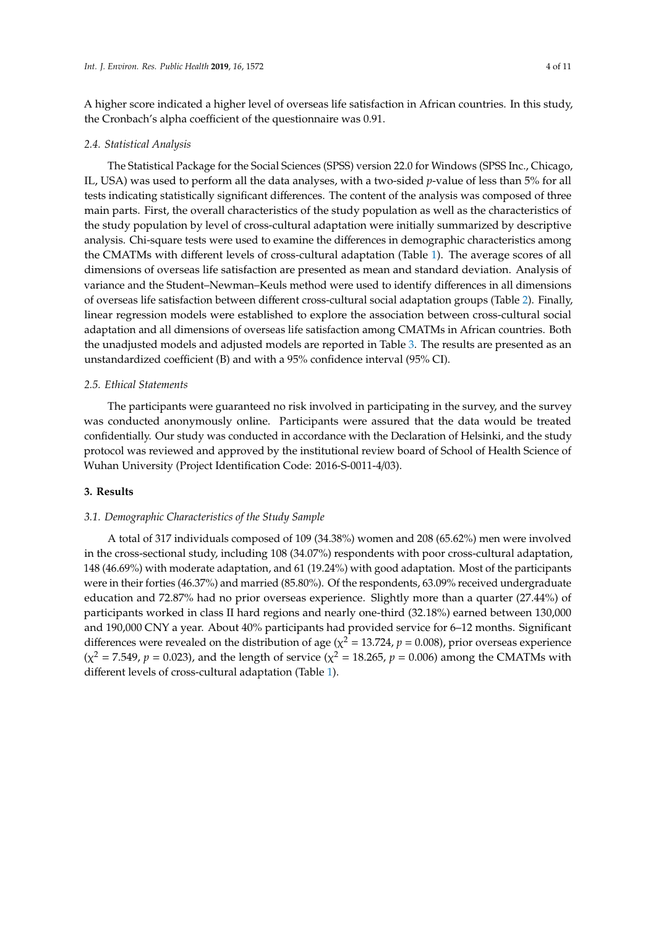A higher score indicated a higher level of overseas life satisfaction in African countries. In this study, the Cronbach's alpha coefficient of the questionnaire was 0.91.

#### *2.4. Statistical Analysis*

The Statistical Package for the Social Sciences (SPSS) version 22.0 for Windows (SPSS Inc., Chicago, IL, USA) was used to perform all the data analyses, with a two-sided *p*-value of less than 5% for all tests indicating statistically significant differences. The content of the analysis was composed of three main parts. First, the overall characteristics of the study population as well as the characteristics of the study population by level of cross-cultural adaptation were initially summarized by descriptive analysis. Chi-square tests were used to examine the differences in demographic characteristics among the CMATMs with different levels of cross-cultural adaptation (Table [1\)](#page-4-0). The average scores of all dimensions of overseas life satisfaction are presented as mean and standard deviation. Analysis of variance and the Student–Newman–Keuls method were used to identify differences in all dimensions of overseas life satisfaction between different cross-cultural social adaptation groups (Table [2\)](#page-5-0). Finally, linear regression models were established to explore the association between cross-cultural social adaptation and all dimensions of overseas life satisfaction among CMATMs in African countries. Both the unadjusted models and adjusted models are reported in Table [3.](#page-6-0) The results are presented as an unstandardized coefficient (B) and with a 95% confidence interval (95% CI).

#### *2.5. Ethical Statements*

The participants were guaranteed no risk involved in participating in the survey, and the survey was conducted anonymously online. Participants were assured that the data would be treated confidentially. Our study was conducted in accordance with the Declaration of Helsinki, and the study protocol was reviewed and approved by the institutional review board of School of Health Science of Wuhan University (Project Identification Code: 2016-S-0011-4/03).

## **3. Results**

#### *3.1. Demographic Characteristics of the Study Sample*

A total of 317 individuals composed of 109 (34.38%) women and 208 (65.62%) men were involved in the cross-sectional study, including 108 (34.07%) respondents with poor cross-cultural adaptation, 148 (46.69%) with moderate adaptation, and 61 (19.24%) with good adaptation. Most of the participants were in their forties (46.37%) and married (85.80%). Of the respondents, 63.09% received undergraduate education and 72.87% had no prior overseas experience. Slightly more than a quarter (27.44%) of participants worked in class II hard regions and nearly one-third (32.18%) earned between 130,000 and 190,000 CNY a year. About 40% participants had provided service for 6–12 months. Significant differences were revealed on the distribution of age ( $\chi^2$  = 13.724,  $p$  = 0.008), prior overseas experience  $(\chi^2 = 7.549, p = 0.023)$ , and the length of service ( $\chi^2 = 18.265, p = 0.006$ ) among the CMATMs with different levels of cross-cultural adaptation (Table [1\)](#page-4-0).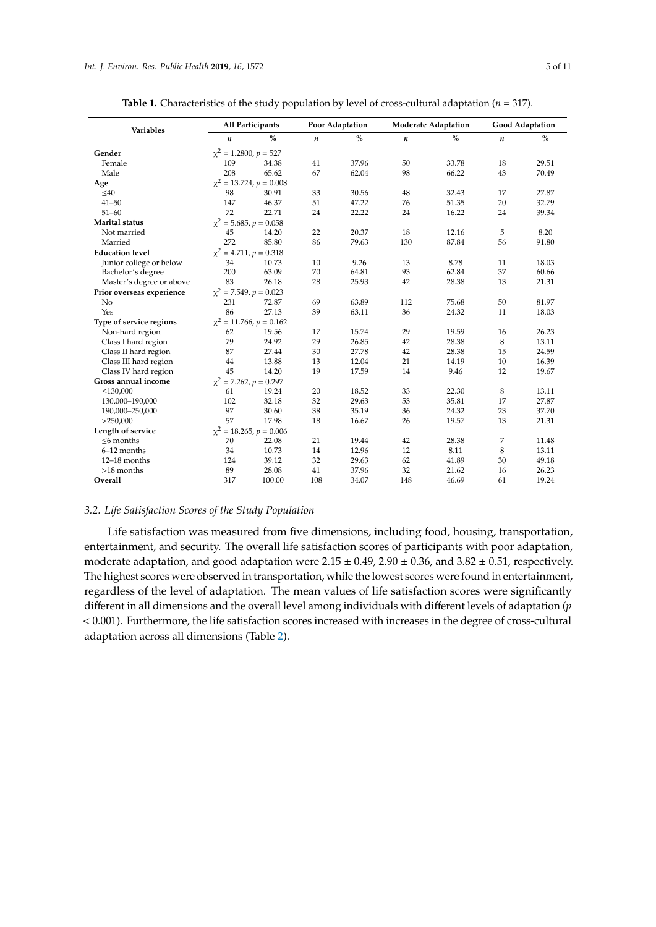<span id="page-4-0"></span>

| <b>Variables</b>          | All Participants              |                              | Poor Adaptation  |       |                  | <b>Moderate Adaptation</b> | <b>Good Adaptation</b> |               |  |
|---------------------------|-------------------------------|------------------------------|------------------|-------|------------------|----------------------------|------------------------|---------------|--|
|                           | $\boldsymbol{n}$              | $\%$                         | $\boldsymbol{n}$ | $\%$  | $\boldsymbol{n}$ | $\frac{0}{0}$              | $\boldsymbol{n}$       | $\frac{0}{0}$ |  |
| Gender                    | $\chi^2$ = 1.2800, $p = 527$  |                              |                  |       |                  |                            |                        |               |  |
| Female                    | 109                           | 34.38                        | 41               | 37.96 | 50               | 33.78                      | 18                     | 29.51         |  |
| Male                      | 208                           | 65.62                        | 67               | 62.04 | 98               | 66.22                      | 43                     | 70.49         |  |
| Age                       |                               | $\chi^2 = 13.724, p = 0.008$ |                  |       |                  |                            |                        |               |  |
| $\leq 40$                 | 98                            | 30.91                        | 33               | 30.56 | 48               | 32.43                      | 17                     | 27.87         |  |
| $41 - 50$                 | 147                           | 46.37                        | 51               | 47.22 | 76               | 51.35                      | 20                     | 32.79         |  |
| $51 - 60$                 | 72                            | 22.71                        | 24               | 22.22 | 24               | 16.22                      | 24                     | 39.34         |  |
| Marital status            | $\chi^2$ = 5.685, $p = 0.058$ |                              |                  |       |                  |                            |                        |               |  |
| Not married               | 45                            | 14.20                        | 22               | 20.37 | 18               | 12.16                      | 5                      | 8.20          |  |
| Married                   | 272                           | 85.80                        | 86               | 79.63 | 130              | 87.84                      | 56                     | 91.80         |  |
| <b>Education level</b>    | $\chi^2$ = 4.711, p = 0.318   |                              |                  |       |                  |                            |                        |               |  |
| Junior college or below   | 34                            | 10.73                        | 10               | 9.26  | 13               | 8.78                       | 11                     | 18.03         |  |
| Bachelor's degree         | 200                           | 63.09                        | 70               | 64.81 | 93               | 62.84                      | 37                     | 60.66         |  |
| Master's degree or above  | 83                            | 26.18                        | 28               | 25.93 | 42               | 28.38                      | 13                     | 21.31         |  |
| Prior overseas experience | $x^2 = 7.549, p = 0.023$      |                              |                  |       |                  |                            |                        |               |  |
| N <sub>o</sub>            | 231                           | 72.87                        | 69               | 63.89 | 112              | 75.68                      | 50                     | 81.97         |  |
| Yes                       | 86                            | 27.13                        | 39               | 63.11 | 36               | 24.32                      | 11                     | 18.03         |  |
| Type of service regions   |                               | $x^2 = 11.766$ , $p = 0.162$ |                  |       |                  |                            |                        |               |  |
| Non-hard region           | 62                            | 19.56                        | 17               | 15.74 | 29               | 19.59                      | 16                     | 26.23         |  |
| Class I hard region       | 79                            | 24.92                        | 29               | 26.85 | 42               | 28.38                      | 8                      | 13.11         |  |
| Class II hard region      | 87                            | 27.44                        | 30               | 27.78 | 42               | 28.38                      | 15                     | 24.59         |  |
| Class III hard region     | 44                            | 13.88                        | 13               | 12.04 | 21               | 14.19                      | 10                     | 16.39         |  |
| Class IV hard region      | 45                            | 14.20                        | 19               | 17.59 | 14               | 9.46                       | 12                     | 19.67         |  |
| Gross annual income       | $x^2 = 7.262$ , $p = 0.297$   |                              |                  |       |                  |                            |                        |               |  |
| $\leq$ 130,000            | 61                            | 19.24                        | 20               | 18.52 | 33               | 22.30                      | 8                      | 13.11         |  |
| 130,000-190,000           | 102                           | 32.18                        | 32               | 29.63 | 53               | 35.81                      | 17                     | 27.87         |  |
| 190,000-250,000           | 97                            | 30.60                        | 38               | 35.19 | 36               | 24.32                      | 23                     | 37.70         |  |
| >250,000                  | 57                            | 17.98                        | 18               | 16.67 | 26               | 19.57                      | 13                     | 21.31         |  |
| Length of service         |                               | $x^2 = 18.265, p = 0.006$    |                  |       |                  |                            |                        |               |  |
| $\leq$ 6 months           | 70                            | 22.08                        | 21               | 19.44 | 42               | 28.38                      | 7                      | 11.48         |  |
| $6-12$ months             | 34                            | 10.73                        | 14               | 12.96 | 12               | 8.11                       | 8                      | 13.11         |  |
| $12-18$ months            | 124                           | 39.12                        | 32               | 29.63 | 62               | 41.89                      | 30                     | 49.18         |  |
| >18 months                | 89                            | 28.08                        | 41               | 37.96 | 32               | 21.62                      | 16                     | 26.23         |  |
| Overall                   | 317                           | 100.00                       | 108              | 34.07 | 148              | 46.69                      | 61                     | 19.24         |  |

**Table 1.** Characteristics of the study population by level of cross-cultural adaptation ( $n = 317$ ).

# *3.2. Life Satisfaction Scores of the Study Population*

Life satisfaction was measured from five dimensions, including food, housing, transportation, entertainment, and security. The overall life satisfaction scores of participants with poor adaptation, moderate adaptation, and good adaptation were  $2.15 \pm 0.49$ ,  $2.90 \pm 0.36$ , and  $3.82 \pm 0.51$ , respectively. The highest scores were observed in transportation, while the lowest scores were found in entertainment, regardless of the level of adaptation. The mean values of life satisfaction scores were significantly different in all dimensions and the overall level among individuals with different levels of adaptation (*p* < 0.001). Furthermore, the life satisfaction scores increased with increases in the degree of cross-cultural adaptation across all dimensions (Table [2\)](#page-5-0).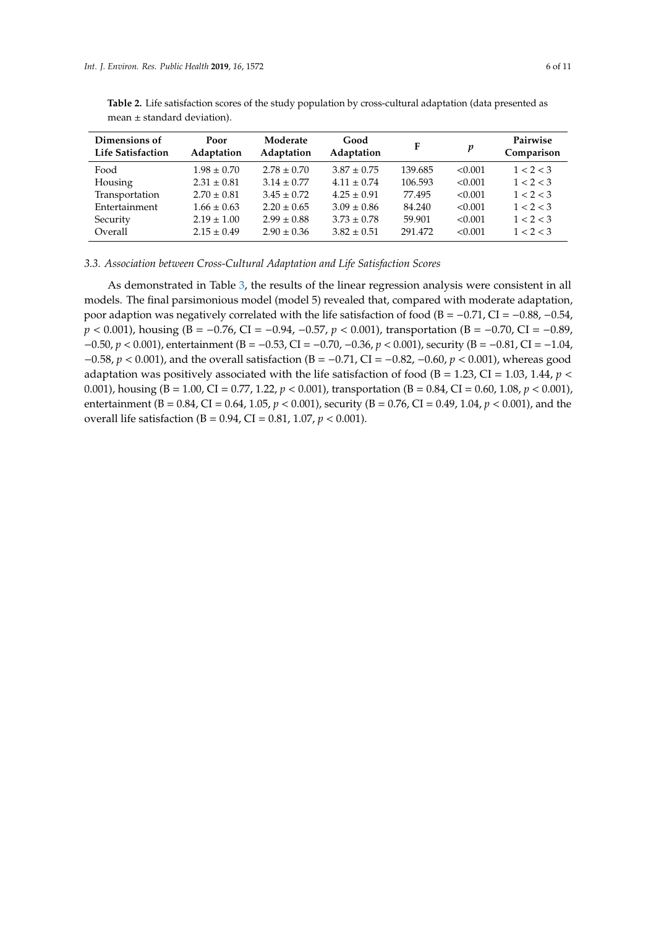| Dimensions of<br><b>Life Satisfaction</b> | Poor<br>Adaptation | Moderate<br>Adaptation | Good<br>Adaptation | F       | p       | Pairwise<br>Comparison |
|-------------------------------------------|--------------------|------------------------|--------------------|---------|---------|------------------------|
| Food                                      | $1.98 \pm 0.70$    | $2.78 \pm 0.70$        | $3.87 \pm 0.75$    | 139.685 | < 0.001 | 1 < 2 < 3              |
| Housing                                   | $2.31 \pm 0.81$    | $3.14 \pm 0.77$        | $4.11 \pm 0.74$    | 106.593 | < 0.001 | 1 < 2 < 3              |
| Transportation                            | $2.70 \pm 0.81$    | $3.45 \pm 0.72$        | $4.25 \pm 0.91$    | 77.495  | < 0.001 | 1 < 2 < 3              |
| Entertainment                             | $1.66 \pm 0.63$    | $2.20 \pm 0.65$        | $3.09 \pm 0.86$    | 84.240  | < 0.001 | 1 < 2 < 3              |
| Security                                  | $2.19 \pm 1.00$    | $2.99 \pm 0.88$        | $3.73 \pm 0.78$    | 59.901  | < 0.001 | 1 < 2 < 3              |
| Overall                                   | $2.15 \pm 0.49$    | $2.90 \pm 0.36$        | $3.82 \pm 0.51$    | 291.472 | < 0.001 | 1 < 2 < 3              |

<span id="page-5-0"></span>**Table 2.** Life satisfaction scores of the study population by cross-cultural adaptation (data presented as mean ± standard deviation).

*3.3. Association between Cross-Cultural Adaptation and Life Satisfaction Scores*

As demonstrated in Table [3,](#page-6-0) the results of the linear regression analysis were consistent in all models. The final parsimonious model (model 5) revealed that, compared with moderate adaptation, poor adaption was negatively correlated with the life satisfaction of food ( $B = -0.71$ , CI =  $-0.88$ ,  $-0.54$ , *p* < 0.001), housing (B = −0.76, CI = −0.94, −0.57, *p* < 0.001), transportation (B = −0.70, CI = −0.89, −0.50, *p* < 0.001), entertainment (B = −0.53, CI = −0.70, −0.36, *p* < 0.001), security (B = −0.81, CI = −1.04, −0.58, *p* < 0.001), and the overall satisfaction (B = −0.71, CI = −0.82, −0.60, *p* < 0.001), whereas good adaptation was positively associated with the life satisfaction of food ( $B = 1.23$ , CI = 1.03, 1.44,  $p <$ 0.001), housing (B = 1.00, CI = 0.77, 1.22, *p* < 0.001), transportation (B = 0.84, CI = 0.60, 1.08, *p* < 0.001), entertainment (B = 0.84, CI = 0.64, 1.05, *p* < 0.001), security (B = 0.76, CI = 0.49, 1.04, *p* < 0.001), and the overall life satisfaction (B = 0.94, CI = 0.81, 1.07, *p* < 0.001).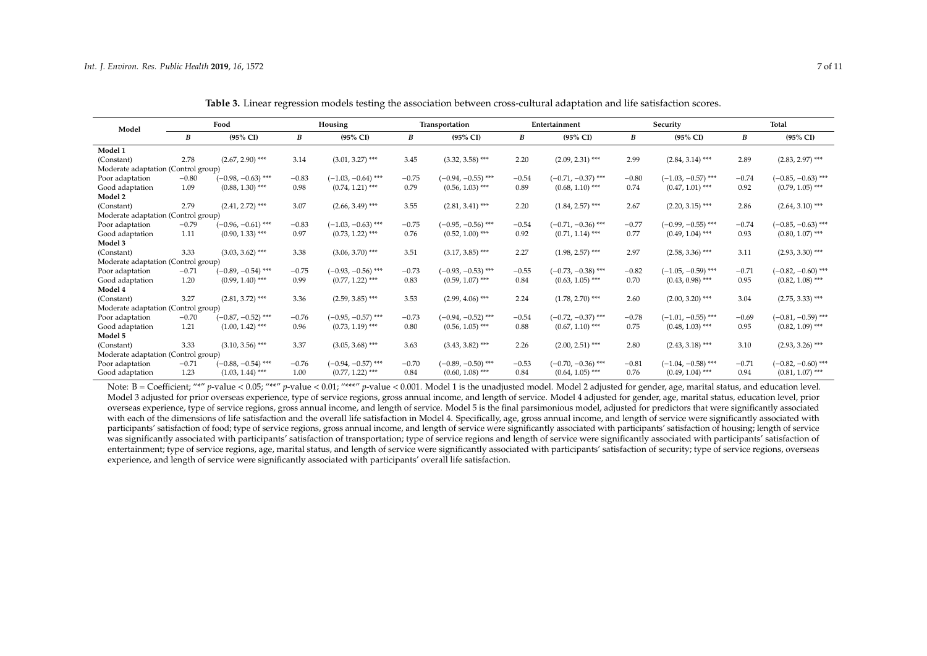| Model                               | Food    |                      | Housing |                      | Transportation |                      | Entertainment |                      | Security |                      | <b>Total</b> |                      |
|-------------------------------------|---------|----------------------|---------|----------------------|----------------|----------------------|---------------|----------------------|----------|----------------------|--------------|----------------------|
|                                     | B       | $(95\% \text{ CI})$  | B       | $(95\% \text{ CI})$  | В              | $(95\% \text{ CI})$  | B             | $(95\% \text{ CI})$  | В        | $(95\% \text{ CI})$  | B            | $(95\% \text{ CI})$  |
| Model 1                             |         |                      |         |                      |                |                      |               |                      |          |                      |              |                      |
| (Constant)                          | 2.78    | $(2.67, 2.90)$ ***   | 3.14    | $(3.01, 3.27)$ ***   | 3.45           | $(3.32, 3.58)$ ***   | 2.20          | $(2.09, 2.31)$ ***   | 2.99     | $(2.84, 3.14)$ ***   | 2.89         | $(2.83, 2.97)$ ***   |
| Moderate adaptation (Control group) |         |                      |         |                      |                |                      |               |                      |          |                      |              |                      |
| Poor adaptation                     | $-0.80$ | $(-0.98, -0.63)$ *** | $-0.83$ | $(-1.03, -0.64)$ *** | $-0.75$        | $(-0.94, -0.55)$ *** | $-0.54$       | $(-0.71, -0.37)$ *** | $-0.80$  | $(-1.03, -0.57)$ *** | $-0.74$      | $(-0.85, -0.63)$ *** |
| Good adaptation                     | 1.09    | $(0.88, 1.30)$ ***   | 0.98    | $(0.74, 1.21)$ ***   | 0.79           | $(0.56, 1.03)$ ***   | 0.89          | $(0.68, 1.10)$ ***   | 0.74     | $(0.47, 1.01)$ ***   | 0.92         | $(0.79, 1.05)$ ***   |
| Model 2                             |         |                      |         |                      |                |                      |               |                      |          |                      |              |                      |
| (Constant)                          | 2.79    | $(2.41, 2.72)$ ***   | 3.07    | $(2.66, 3.49)$ ***   | 3.55           | $(2.81, 3.41)$ ***   | 2.20          | $(1.84, 2.57)$ ***   | 2.67     | $(2.20, 3.15)$ ***   | 2.86         | $(2.64, 3.10)$ ***   |
| Moderate adaptation (Control group) |         |                      |         |                      |                |                      |               |                      |          |                      |              |                      |
| Poor adaptation                     | $-0.79$ | $(-0.96, -0.61)$ *** | $-0.83$ | $(-1.03, -0.63)$ *** | $-0.75$        | $(-0.95, -0.56)$ *** | $-0.54$       | $(-0.71, -0.36)$ *** | $-0.77$  | $(-0.99, -0.55)$ *** | $-0.74$      | $(-0.85, -0.63)$ *** |
| Good adaptation                     | 1.11    | $(0.90, 1.33)$ ***   | 0.97    | $(0.73, 1.22)$ ***   | 0.76           | $(0.52, 1.00)$ ***   | 0.92          | $(0.71, 1.14)$ ***   | 0.77     | $(0.49, 1.04)$ ***   | 0.93         | $(0.80, 1.07)$ ***   |
| Model 3                             |         |                      |         |                      |                |                      |               |                      |          |                      |              |                      |
| (Constant)                          | 3.33    | $(3.03, 3.62)$ ***   | 3.38    | $(3.06, 3.70)$ ***   | 3.51           | $(3.17, 3.85)$ ***   | 2.27          | $(1.98, 2.57)$ ***   | 2.97     | $(2.58, 3.36)$ ***   | 3.11         | $(2.93, 3.30)$ ***   |
| Moderate adaptation (Control group) |         |                      |         |                      |                |                      |               |                      |          |                      |              |                      |
| Poor adaptation                     | $-0.71$ | $(-0.89, -0.54)$ *** | $-0.75$ | $(-0.93, -0.56)$ *** | $-0.73$        | $(-0.93, -0.53)$ *** | $-0.55$       | $(-0.73, -0.38)$ *** | $-0.82$  | $(-1.05, -0.59)$ *** | $-0.71$      | $(-0.82, -0.60)$ *** |
| Good adaptation                     | 1.20    | $(0.99, 1.40)$ ***   | 0.99    | $(0.77, 1.22)$ ***   | 0.83           | $(0.59, 1.07)$ ***   | 0.84          | $(0.63, 1.05)$ ***   | 0.70     | $(0.43, 0.98)$ ***   | 0.95         | $(0.82, 1.08)$ ***   |
| Model 4                             |         |                      |         |                      |                |                      |               |                      |          |                      |              |                      |
| (Constant)                          | 3.27    | $(2.81, 3.72)$ ***   | 3.36    | $(2.59, 3.85)$ ***   | 3.53           | $(2.99, 4.06)$ ***   | 2.24          | $(1.78, 2.70)$ ***   | 2.60     | $(2.00, 3.20)$ ***   | 3.04         | $(2.75, 3.33)$ ***   |
| Moderate adaptation (Control group) |         |                      |         |                      |                |                      |               |                      |          |                      |              |                      |
| Poor adaptation                     | $-0.70$ | $(-0.87, -0.52)$ *** | $-0.76$ | $(-0.95, -0.57)$ *** | $-0.73$        | $(-0.94, -0.52)$ *** | $-0.54$       | $(-0.72, -0.37)$ *** | $-0.78$  | $(-1.01, -0.55)$ *** | $-0.69$      | $(-0.81, -0.59)$ *** |
| Good adaptation                     | 1.21    | $(1.00, 1.42)$ ***   | 0.96    | $(0.73, 1.19)$ ***   | 0.80           | $(0.56, 1.05)$ ***   | 0.88          | $(0.67, 1.10)$ ***   | 0.75     | $(0.48, 1.03)$ ***   | 0.95         | $(0.82, 1.09)$ ***   |
| Model 5                             |         |                      |         |                      |                |                      |               |                      |          |                      |              |                      |
| (Constant)                          | 3.33    | $(3.10, 3.56)$ ***   | 3.37    | $(3.05, 3.68)$ ***   | 3.63           | $(3.43, 3.82)$ ***   | 2.26          | $(2.00, 2.51)$ ***   | 2.80     | $(2.43, 3.18)$ ***   | 3.10         | $(2.93, 3.26)$ ***   |
| Moderate adaptation (Control group) |         |                      |         |                      |                |                      |               |                      |          |                      |              |                      |
| Poor adaptation                     | $-0.71$ | $(-0.88, -0.54)$ *** | $-0.76$ | $(-0.94, -0.57)$ *** | $-0.70$        | $(-0.89, -0.50)$ *** | $-0.53$       | $(-0.70, -0.36)$ *** | $-0.81$  | $(-1.04, -0.58)$ *** | $-0.71$      | $(-0.82, -0.60)$ *** |
| Good adaptation                     | 1.23    | $(1.03, 1.44)$ ***   | 1.00    | $(0.77, 1.22)$ ***   | 0.84           | $(0.60, 1.08)$ ***   | 0.84          | $(0.64, 1.05)$ ***   | 0.76     | $(0.49, 1.04)$ ***   | 0.94         | $(0.81, 1.07)$ ***   |

**Table 3.** Linear regression models testing the association between cross-cultural adaptation and life satisfaction scores.

<span id="page-6-0"></span>Note: B = Coefficient; "\*" p-value < 0.05; "\*\*" p-value < 0.01; "\*\*\*" p-value < 0.001. Model 1 is the unadjusted model. Model 2 adjusted for gender, age, marital status, and education level. Model 3 adjusted for prior overseas experience, type of service regions, gross annual income, and length of service. Model 4 adjusted for gender, age, marital status, education level, prior overseas experience, type of service regions, gross annual income, and length of service. Model 5 is the final parsimonious model, adjusted for predictors that were significantly associated with each of the dimensions of life satisfaction and the overall life satisfaction in Model 4. Specifically, age, gross annual income, and length of service were significantly associated with participants' satisfaction of food; type of service regions, gross annual income, and length of service were significantly associated with participants' satisfaction of housing; length of service was significantly associated with participants' satisfaction of transportation; type of service regions and length of service were significantly associated with participants' satisfaction of entertainment; type of service regions, age, marital status, and length of service were significantly associated with participants' satisfaction of security; type of service regions, overseas experience, and length of service were significantly associated with participants' overall life satisfaction.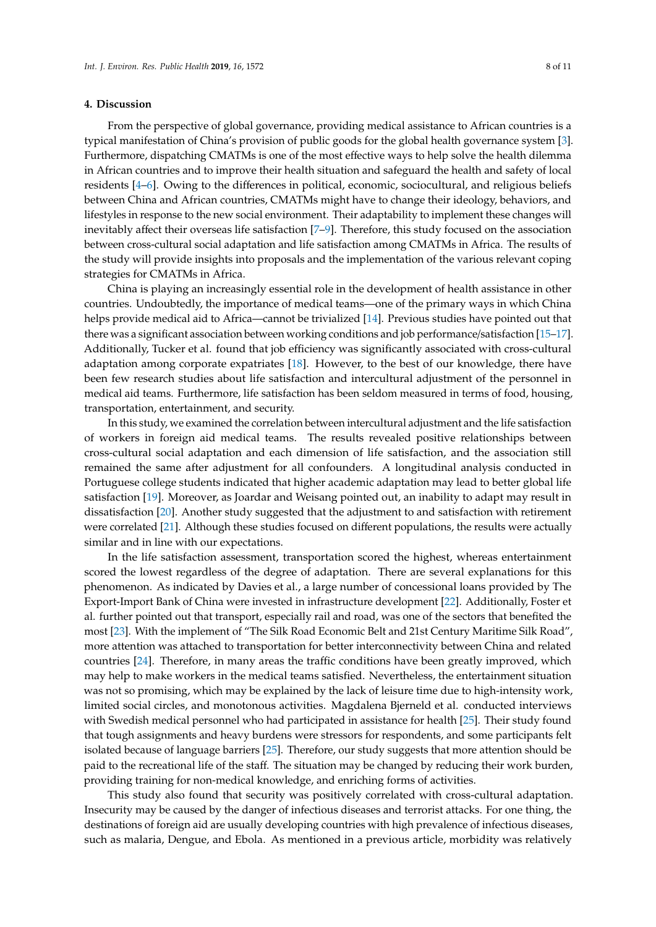#### **4. Discussion**

From the perspective of global governance, providing medical assistance to African countries is a typical manifestation of China's provision of public goods for the global health governance system [\[3\]](#page-9-0). Furthermore, dispatching CMATMs is one of the most effective ways to help solve the health dilemma in African countries and to improve their health situation and safeguard the health and safety of local residents [\[4](#page-9-1)[–6\]](#page-9-2). Owing to the differences in political, economic, sociocultural, and religious beliefs between China and African countries, CMATMs might have to change their ideology, behaviors, and lifestyles in response to the new social environment. Their adaptability to implement these changes will inevitably affect their overseas life satisfaction [\[7–](#page-9-4)[9\]](#page-9-6). Therefore, this study focused on the association between cross-cultural social adaptation and life satisfaction among CMATMs in Africa. The results of the study will provide insights into proposals and the implementation of the various relevant coping strategies for CMATMs in Africa.

China is playing an increasingly essential role in the development of health assistance in other countries. Undoubtedly, the importance of medical teams—one of the primary ways in which China helps provide medical aid to Africa—cannot be trivialized [\[14\]](#page-9-11). Previous studies have pointed out that there was a significant association between working conditions and job performance/satisfaction [\[15–](#page-9-12)[17\]](#page-9-13). Additionally, Tucker et al. found that job efficiency was significantly associated with cross-cultural adaptation among corporate expatriates [\[18\]](#page-9-14). However, to the best of our knowledge, there have been few research studies about life satisfaction and intercultural adjustment of the personnel in medical aid teams. Furthermore, life satisfaction has been seldom measured in terms of food, housing, transportation, entertainment, and security.

In this study, we examined the correlation between intercultural adjustment and the life satisfaction of workers in foreign aid medical teams. The results revealed positive relationships between cross-cultural social adaptation and each dimension of life satisfaction, and the association still remained the same after adjustment for all confounders. A longitudinal analysis conducted in Portuguese college students indicated that higher academic adaptation may lead to better global life satisfaction [\[19\]](#page-9-15). Moreover, as Joardar and Weisang pointed out, an inability to adapt may result in dissatisfaction [\[20\]](#page-9-16). Another study suggested that the adjustment to and satisfaction with retirement were correlated [\[21\]](#page-9-17). Although these studies focused on different populations, the results were actually similar and in line with our expectations.

In the life satisfaction assessment, transportation scored the highest, whereas entertainment scored the lowest regardless of the degree of adaptation. There are several explanations for this phenomenon. As indicated by Davies et al., a large number of concessional loans provided by The Export-Import Bank of China were invested in infrastructure development [\[22\]](#page-9-18). Additionally, Foster et al. further pointed out that transport, especially rail and road, was one of the sectors that benefited the most [\[23\]](#page-9-19). With the implement of "The Silk Road Economic Belt and 21st Century Maritime Silk Road", more attention was attached to transportation for better interconnectivity between China and related countries [\[24\]](#page-9-20). Therefore, in many areas the traffic conditions have been greatly improved, which may help to make workers in the medical teams satisfied. Nevertheless, the entertainment situation was not so promising, which may be explained by the lack of leisure time due to high-intensity work, limited social circles, and monotonous activities. Magdalena Bjerneld et al. conducted interviews with Swedish medical personnel who had participated in assistance for health [\[25\]](#page-9-21). Their study found that tough assignments and heavy burdens were stressors for respondents, and some participants felt isolated because of language barriers [\[25\]](#page-9-21). Therefore, our study suggests that more attention should be paid to the recreational life of the staff. The situation may be changed by reducing their work burden, providing training for non-medical knowledge, and enriching forms of activities.

This study also found that security was positively correlated with cross-cultural adaptation. Insecurity may be caused by the danger of infectious diseases and terrorist attacks. For one thing, the destinations of foreign aid are usually developing countries with high prevalence of infectious diseases, such as malaria, Dengue, and Ebola. As mentioned in a previous article, morbidity was relatively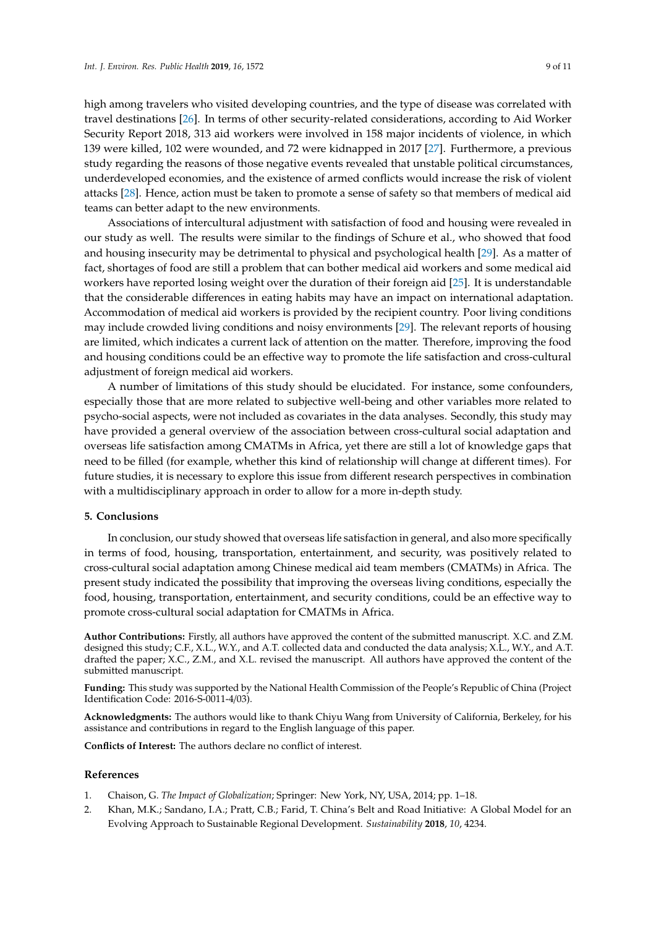high among travelers who visited developing countries, and the type of disease was correlated with travel destinations [\[26\]](#page-9-22). In terms of other security-related considerations, according to Aid Worker Security Report 2018, 313 aid workers were involved in 158 major incidents of violence, in which 139 were killed, 102 were wounded, and 72 were kidnapped in 2017 [\[27\]](#page-9-23). Furthermore, a previous study regarding the reasons of those negative events revealed that unstable political circumstances, underdeveloped economies, and the existence of armed conflicts would increase the risk of violent attacks [\[28\]](#page-10-0). Hence, action must be taken to promote a sense of safety so that members of medical aid teams can better adapt to the new environments.

Associations of intercultural adjustment with satisfaction of food and housing were revealed in our study as well. The results were similar to the findings of Schure et al., who showed that food and housing insecurity may be detrimental to physical and psychological health [\[29\]](#page-10-1). As a matter of fact, shortages of food are still a problem that can bother medical aid workers and some medical aid workers have reported losing weight over the duration of their foreign aid [\[25\]](#page-9-21). It is understandable that the considerable differences in eating habits may have an impact on international adaptation. Accommodation of medical aid workers is provided by the recipient country. Poor living conditions may include crowded living conditions and noisy environments [\[29\]](#page-10-1). The relevant reports of housing are limited, which indicates a current lack of attention on the matter. Therefore, improving the food and housing conditions could be an effective way to promote the life satisfaction and cross-cultural adjustment of foreign medical aid workers.

A number of limitations of this study should be elucidated. For instance, some confounders, especially those that are more related to subjective well-being and other variables more related to psycho-social aspects, were not included as covariates in the data analyses. Secondly, this study may have provided a general overview of the association between cross-cultural social adaptation and overseas life satisfaction among CMATMs in Africa, yet there are still a lot of knowledge gaps that need to be filled (for example, whether this kind of relationship will change at different times). For future studies, it is necessary to explore this issue from different research perspectives in combination with a multidisciplinary approach in order to allow for a more in-depth study.

#### **5. Conclusions**

In conclusion, our study showed that overseas life satisfaction in general, and also more specifically in terms of food, housing, transportation, entertainment, and security, was positively related to cross-cultural social adaptation among Chinese medical aid team members (CMATMs) in Africa. The present study indicated the possibility that improving the overseas living conditions, especially the food, housing, transportation, entertainment, and security conditions, could be an effective way to promote cross-cultural social adaptation for CMATMs in Africa.

**Author Contributions:** Firstly, all authors have approved the content of the submitted manuscript. X.C. and Z.M. designed this study; C.F., X.L., W.Y., and A.T. collected data and conducted the data analysis; X.L., W.Y., and A.T. drafted the paper; X.C., Z.M., and X.L. revised the manuscript. All authors have approved the content of the submitted manuscript.

**Funding:** This study was supported by the National Health Commission of the People's Republic of China (Project Identification Code: 2016-S-0011-4/03).

**Acknowledgments:** The authors would like to thank Chiyu Wang from University of California, Berkeley, for his assistance and contributions in regard to the English language of this paper.

**Conflicts of Interest:** The authors declare no conflict of interest.

#### **References**

- <span id="page-8-0"></span>1. Chaison, G. *The Impact of Globalization*; Springer: New York, NY, USA, 2014; pp. 1–18.
- <span id="page-8-1"></span>2. Khan, M.K.; Sandano, I.A.; Pratt, C.B.; Farid, T. China's Belt and Road Initiative: A Global Model for an Evolving Approach to Sustainable Regional Development. *Sustainability* **2018**, *10*, 4234.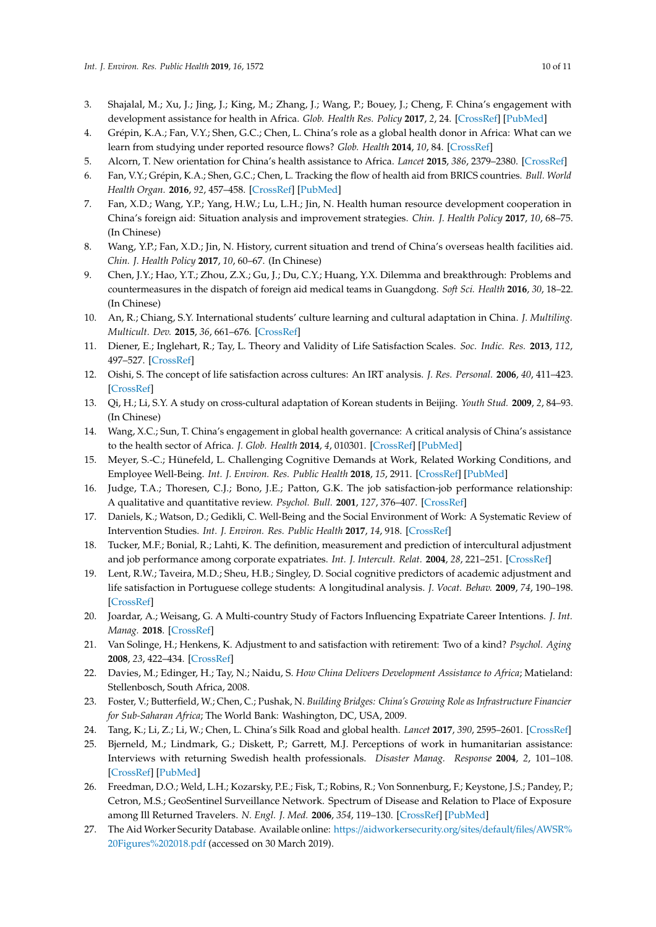- <span id="page-9-0"></span>3. Shajalal, M.; Xu, J.; Jing, J.; King, M.; Zhang, J.; Wang, P.; Bouey, J.; Cheng, F. China's engagement with development assistance for health in Africa. *Glob. Health Res. Policy* **2017**, *2*, 24. [\[CrossRef\]](http://dx.doi.org/10.1186/s41256-017-0045-8) [\[PubMed\]](http://www.ncbi.nlm.nih.gov/pubmed/29202092)
- <span id="page-9-1"></span>4. Grépin, K.A.; Fan, V.Y.; Shen, G.C.; Chen, L. China's role as a global health donor in Africa: What can we learn from studying under reported resource flows? *Glob. Health* **2014**, *10*, 84. [\[CrossRef\]](http://dx.doi.org/10.1186/s12992-014-0084-6)
- <span id="page-9-3"></span>5. Alcorn, T. New orientation for China's health assistance to Africa. *Lancet* **2015**, *386*, 2379–2380. [\[CrossRef\]](http://dx.doi.org/10.1016/S0140-6736(15)01232-5)
- <span id="page-9-2"></span>6. Fan, V.Y.; Grépin, K.A.; Shen, G.C.; Chen, L. Tracking the flow of health aid from BRICS countries. *Bull. World Health Organ.* **2016**, *92*, 457–458. [\[CrossRef\]](http://dx.doi.org/10.2471/BLT.13.132472) [\[PubMed\]](http://www.ncbi.nlm.nih.gov/pubmed/24940022)
- <span id="page-9-4"></span>7. Fan, X.D.; Wang, Y.P.; Yang, H.W.; Lu, L.H.; Jin, N. Health human resource development cooperation in China's foreign aid: Situation analysis and improvement strategies. *Chin. J. Health Policy* **2017**, *10*, 68–75. (In Chinese)
- <span id="page-9-5"></span>8. Wang, Y.P.; Fan, X.D.; Jin, N. History, current situation and trend of China's overseas health facilities aid. *Chin. J. Health Policy* **2017**, *10*, 60–67. (In Chinese)
- <span id="page-9-6"></span>9. Chen, J.Y.; Hao, Y.T.; Zhou, Z.X.; Gu, J.; Du, C.Y.; Huang, Y.X. Dilemma and breakthrough: Problems and countermeasures in the dispatch of foreign aid medical teams in Guangdong. *Soft Sci. Health* **2016**, *30*, 18–22. (In Chinese)
- <span id="page-9-7"></span>10. An, R.; Chiang, S.Y. International students' culture learning and cultural adaptation in China. *J. Multiling. Multicult. Dev.* **2015**, *36*, 661–676. [\[CrossRef\]](http://dx.doi.org/10.1080/01434632.2015.1009080)
- <span id="page-9-8"></span>11. Diener, E.; Inglehart, R.; Tay, L. Theory and Validity of Life Satisfaction Scales. *Soc. Indic. Res.* **2013**, *112*, 497–527. [\[CrossRef\]](http://dx.doi.org/10.1007/s11205-012-0076-y)
- <span id="page-9-9"></span>12. Oishi, S. The concept of life satisfaction across cultures: An IRT analysis. *J. Res. Personal.* **2006**, *40*, 411–423. [\[CrossRef\]](http://dx.doi.org/10.1016/j.jrp.2005.02.002)
- <span id="page-9-10"></span>13. Qi, H.; Li, S.Y. A study on cross-cultural adaptation of Korean students in Beijing. *Youth Stud.* **2009**, *2*, 84–93. (In Chinese)
- <span id="page-9-11"></span>14. Wang, X.C.; Sun, T. China's engagement in global health governance: A critical analysis of China's assistance to the health sector of Africa. *J. Glob. Health* **2014**, *4*, 010301. [\[CrossRef\]](http://dx.doi.org/10.7189/jogh.04.010301) [\[PubMed\]](http://www.ncbi.nlm.nih.gov/pubmed/24976956)
- <span id="page-9-12"></span>15. Meyer, S.-C.; Hünefeld, L. Challenging Cognitive Demands at Work, Related Working Conditions, and Employee Well-Being. *Int. J. Environ. Res. Public Health* **2018**, *15*, 2911. [\[CrossRef\]](http://dx.doi.org/10.3390/ijerph15122911) [\[PubMed\]](http://www.ncbi.nlm.nih.gov/pubmed/30572625)
- 16. Judge, T.A.; Thoresen, C.J.; Bono, J.E.; Patton, G.K. The job satisfaction-job performance relationship: A qualitative and quantitative review. *Psychol. Bull.* **2001**, *127*, 376–407. [\[CrossRef\]](http://dx.doi.org/10.1037/0033-2909.127.3.376)
- <span id="page-9-13"></span>17. Daniels, K.; Watson, D.; Gedikli, C. Well-Being and the Social Environment of Work: A Systematic Review of Intervention Studies. *Int. J. Environ. Res. Public Health* **2017**, *14*, 918. [\[CrossRef\]](http://dx.doi.org/10.3390/ijerph14080918)
- <span id="page-9-14"></span>18. Tucker, M.F.; Bonial, R.; Lahti, K. The definition, measurement and prediction of intercultural adjustment and job performance among corporate expatriates. *Int. J. Intercult. Relat.* **2004**, *28*, 221–251. [\[CrossRef\]](http://dx.doi.org/10.1016/j.ijintrel.2004.06.004)
- <span id="page-9-15"></span>19. Lent, R.W.; Taveira, M.D.; Sheu, H.B.; Singley, D. Social cognitive predictors of academic adjustment and life satisfaction in Portuguese college students: A longitudinal analysis. *J. Vocat. Behav.* **2009**, *74*, 190–198. [\[CrossRef\]](http://dx.doi.org/10.1016/j.jvb.2008.12.006)
- <span id="page-9-16"></span>20. Joardar, A.; Weisang, G. A Multi-country Study of Factors Influencing Expatriate Career Intentions. *J. Int. Manag.* **2018**. [\[CrossRef\]](http://dx.doi.org/10.1016/j.intman.2018.12.001)
- <span id="page-9-17"></span>21. Van Solinge, H.; Henkens, K. Adjustment to and satisfaction with retirement: Two of a kind? *Psychol. Aging* **2008**, *23*, 422–434. [\[CrossRef\]](http://dx.doi.org/10.1037/0882-7974.23.2.422)
- <span id="page-9-18"></span>22. Davies, M.; Edinger, H.; Tay, N.; Naidu, S. *How China Delivers Development Assistance to Africa*; Matieland: Stellenbosch, South Africa, 2008.
- <span id="page-9-19"></span>23. Foster, V.; Butterfield, W.; Chen, C.; Pushak, N. *Building Bridges: China's Growing Role as Infrastructure Financier for Sub-Saharan Africa*; The World Bank: Washington, DC, USA, 2009.
- <span id="page-9-20"></span>24. Tang, K.; Li, Z.; Li, W.; Chen, L. China's Silk Road and global health. *Lancet* **2017**, *390*, 2595–2601. [\[CrossRef\]](http://dx.doi.org/10.1016/S0140-6736(17)32898-2)
- <span id="page-9-21"></span>25. Bjerneld, M.; Lindmark, G.; Diskett, P.; Garrett, M.J. Perceptions of work in humanitarian assistance: Interviews with returning Swedish health professionals. *Disaster Manag. Response* **2004**, *2*, 101–108. [\[CrossRef\]](http://dx.doi.org/10.1016/j.dmr.2004.08.009) [\[PubMed\]](http://www.ncbi.nlm.nih.gov/pubmed/15448624)
- <span id="page-9-22"></span>26. Freedman, D.O.; Weld, L.H.; Kozarsky, P.E.; Fisk, T.; Robins, R.; Von Sonnenburg, F.; Keystone, J.S.; Pandey, P.; Cetron, M.S.; GeoSentinel Surveillance Network. Spectrum of Disease and Relation to Place of Exposure among Ill Returned Travelers. *N. Engl. J. Med.* **2006**, *354*, 119–130. [\[CrossRef\]](http://dx.doi.org/10.1056/NEJMoa051331) [\[PubMed\]](http://www.ncbi.nlm.nih.gov/pubmed/16407507)
- <span id="page-9-23"></span>27. The Aid Worker Security Database. Available online: https://[aidworkersecurity.org](https://aidworkersecurity.org/sites/default/files/AWSR%20Figures%202018.pdf)/sites/default/files/AWSR% [20Figures%202018.pdf](https://aidworkersecurity.org/sites/default/files/AWSR%20Figures%202018.pdf) (accessed on 30 March 2019).